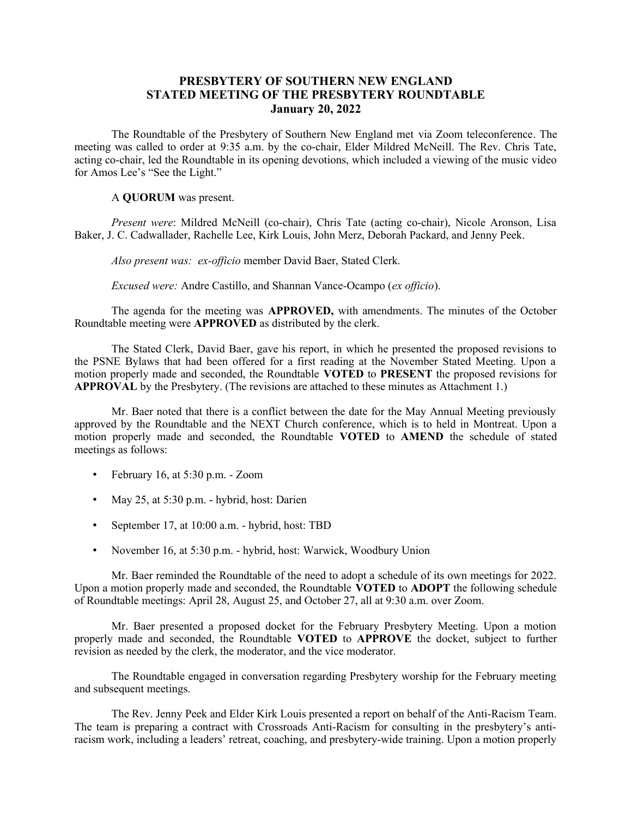## **PRESBYTERY OF SOUTHERN NEW ENGLAND STATED MEETING OF THE PRESBYTERY ROUNDTABLE January 20, 2022**

The Roundtable of the Presbytery of Southern New England met via Zoom teleconference. The meeting was called to order at 9:35 a.m. by the co-chair, Elder Mildred McNeill. The Rev. Chris Tate, acting co-chair, led the Roundtable in its opening devotions, which included a viewing of the music video for Amos Lee's "See the Light."

## A **QUORUM** was present.

*Present were*: Mildred McNeill (co-chair), Chris Tate (acting co-chair), Nicole Aronson, Lisa Baker, J. C. Cadwallader, Rachelle Lee, Kirk Louis, John Merz, Deborah Packard, and Jenny Peek.

*Also present was: ex-officio* member David Baer, Stated Clerk.

*Excused were:* Andre Castillo, and Shannan Vance-Ocampo (*ex officio*).

The agenda for the meeting was **APPROVED,** with amendments. The minutes of the October Roundtable meeting were **APPROVED** as distributed by the clerk.

The Stated Clerk, David Baer, gave his report, in which he presented the proposed revisions to the PSNE Bylaws that had been offered for a first reading at the November Stated Meeting. Upon a motion properly made and seconded, the Roundtable **VOTED** to **PRESENT** the proposed revisions for **APPROVAL** by the Presbytery. (The revisions are attached to these minutes as Attachment 1.)

Mr. Baer noted that there is a conflict between the date for the May Annual Meeting previously approved by the Roundtable and the NEXT Church conference, which is to held in Montreat. Upon a motion properly made and seconded, the Roundtable **VOTED** to **AMEND** the schedule of stated meetings as follows:

- February 16, at 5:30 p.m. Zoom
- May 25, at 5:30 p.m. hybrid, host: Darien
- September 17, at 10:00 a.m. hybrid, host: TBD
- November 16, at 5:30 p.m. hybrid, host: Warwick, Woodbury Union

Mr. Baer reminded the Roundtable of the need to adopt a schedule of its own meetings for 2022. Upon a motion properly made and seconded, the Roundtable **VOTED** to **ADOPT** the following schedule of Roundtable meetings: April 28, August 25, and October 27, all at 9:30 a.m. over Zoom.

Mr. Baer presented a proposed docket for the February Presbytery Meeting. Upon a motion properly made and seconded, the Roundtable **VOTED** to **APPROVE** the docket, subject to further revision as needed by the clerk, the moderator, and the vice moderator.

The Roundtable engaged in conversation regarding Presbytery worship for the February meeting and subsequent meetings.

The Rev. Jenny Peek and Elder Kirk Louis presented a report on behalf of the Anti-Racism Team. The team is preparing a contract with Crossroads Anti-Racism for consulting in the presbytery's antiracism work, including a leaders' retreat, coaching, and presbytery-wide training. Upon a motion properly